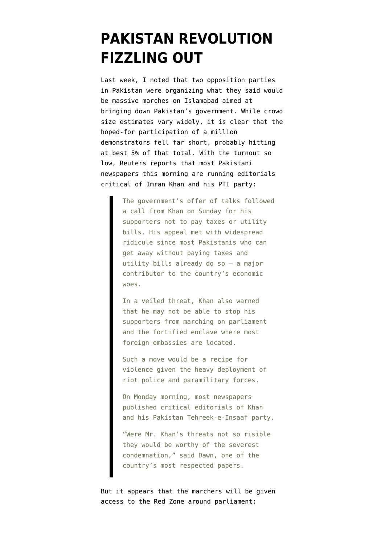## **[PAKISTAN REVOLUTION](https://www.emptywheel.net/2014/08/18/pakistan-revolution-fizzling-out/) [FIZZLING OUT](https://www.emptywheel.net/2014/08/18/pakistan-revolution-fizzling-out/)**

Last week, I noted that two opposition parties in Pakistan were organizing what they said would be massive marches on Islamabad [aimed at](http://www.emptywheel.net/2014/08/11/meanwhile-in-pakistan-revolution-is-scheduled-for-thursday/) [bringing down Pakistan's government](http://www.emptywheel.net/2014/08/11/meanwhile-in-pakistan-revolution-is-scheduled-for-thursday/). While crowd size estimates vary widely, it is clear that the hoped-for participation of a million demonstrators fell far short, probably hitting at best 5% of that total. With the turnout so low, [Reuters reports](http://www.reuters.com/article/2014/08/18/us-pakistan-politics-idUSKBN0GI0T920140818) that most Pakistani newspapers this morning are running editorials critical of Imran Khan and his PTI party:

> The government's offer of talks followed a call from Khan on Sunday for his supporters not to pay taxes or utility bills. His appeal met with widespread ridicule since most Pakistanis who can get away without paying taxes and utility bills already do so – a major contributor to the country's economic woes.

In a veiled threat, Khan also warned that he may not be able to stop his supporters from marching on parliament and the fortified enclave where most foreign embassies are located.

Such a move would be a recipe for violence given the heavy deployment of riot police and paramilitary forces.

On Monday morning, most newspapers published critical editorials of Khan and his Pakistan Tehreek-e-Insaaf party.

"Were Mr. Khan's threats not so risible they would be worthy of the severest condemnation," said Dawn, one of the country's most respected papers.

But it appears that the [marchers will be given](http://tribune.com.pk/story/750258/sc-rejects-govts-plea-to-restrain-protesters-from-moving-towards-red-zone/) [access to the Red Zone around parliament:](http://tribune.com.pk/story/750258/sc-rejects-govts-plea-to-restrain-protesters-from-moving-towards-red-zone/)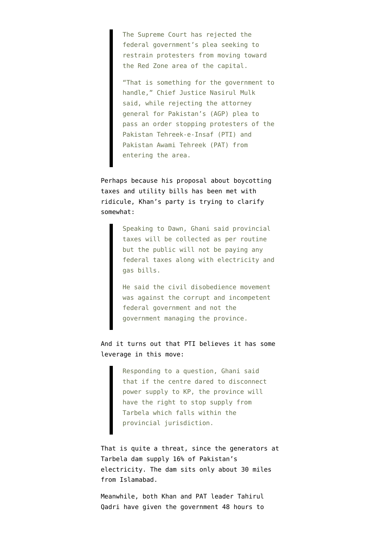The Supreme Court has rejected the federal government's plea seeking to restrain protesters from moving toward the Red Zone area of the capital.

"That is something for the government to handle," Chief Justice Nasirul Mulk said, while rejecting the attorney general for Pakistan's (AGP) plea to pass an order stopping protesters of the Pakistan Tehreek-e-Insaf (PTI) and Pakistan Awami Tehreek (PAT) from entering the area.

Perhaps because his proposal about boycotting taxes and utility bills has been met with ridicule, [Khan's party is trying to clarify](http://www.dawn.com/news/1126093/well-stop-power-supply-from-tarbela-if-centre-cuts-our-electricity-kp-minister) [somewhat:](http://www.dawn.com/news/1126093/well-stop-power-supply-from-tarbela-if-centre-cuts-our-electricity-kp-minister)

> Speaking to Dawn, Ghani said provincial taxes will be collected as per routine but the public will not be paying any federal taxes along with electricity and gas bills.

He said the civil disobedience movement was against the corrupt and incompetent federal government and not the government managing the province.

And it turns out that PTI believes it has some leverage in this move:

> Responding to a question, Ghani said that if the centre dared to disconnect power supply to KP, the province will have the right to stop supply from Tarbela which falls within the provincial jurisdiction.

That is quite a threat, since the [generators at](http://www.worldbank.org/en/news/feature/2013/02/06/expanding-the-power-of-tarbela-dam) [Tarbela dam supply 16% of Pakistan's](http://www.worldbank.org/en/news/feature/2013/02/06/expanding-the-power-of-tarbela-dam) [electricity](http://www.worldbank.org/en/news/feature/2013/02/06/expanding-the-power-of-tarbela-dam). The dam sits only about 30 miles from Islamabad.

Meanwhile, both [Khan](http://www.dawn.com/news/1126090/day-5-pti-pat-stay-put-as-govt-in-crisis-management-mode) and [PAT leader Tahirul](http://tribune.com.pk/story/749480/live-islamabad-sit-ins-updates-imran-to-address-supporters-at-3pm/) [Qadri](http://tribune.com.pk/story/749480/live-islamabad-sit-ins-updates-imran-to-address-supporters-at-3pm/) have given the government 48 hours to